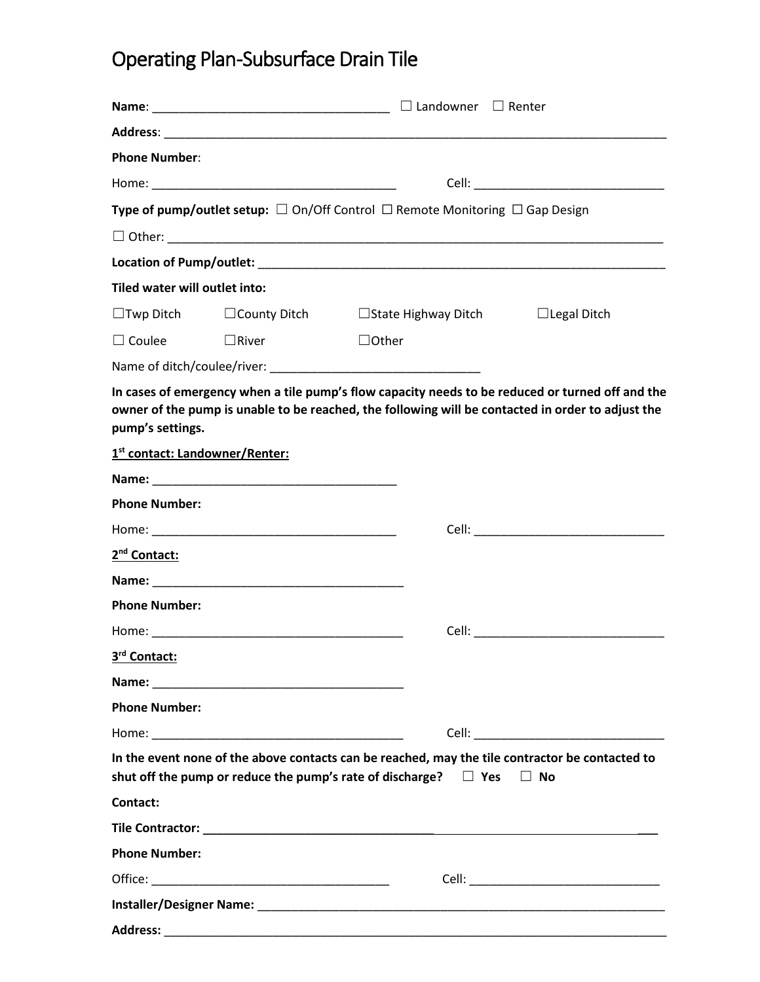## Operating Plan -Subsurface Drain Tile

| <b>Phone Number:</b>          |                                            |                                                                                                                                                                                                       |  |  |  |
|-------------------------------|--------------------------------------------|-------------------------------------------------------------------------------------------------------------------------------------------------------------------------------------------------------|--|--|--|
|                               |                                            |                                                                                                                                                                                                       |  |  |  |
|                               |                                            | Type of pump/outlet setup: $\Box$ On/Off Control $\Box$ Remote Monitoring $\Box$ Gap Design                                                                                                           |  |  |  |
|                               |                                            |                                                                                                                                                                                                       |  |  |  |
|                               |                                            |                                                                                                                                                                                                       |  |  |  |
| Tiled water will outlet into: |                                            |                                                                                                                                                                                                       |  |  |  |
|                               |                                            | $\Box$ Twp Ditch $\Box$ County Ditch $\Box$ State Highway Ditch $\Box$ Legal Ditch                                                                                                                    |  |  |  |
| $\Box$ Coulee                 | $\Box$ River                               | $\Box$ Other                                                                                                                                                                                          |  |  |  |
|                               |                                            |                                                                                                                                                                                                       |  |  |  |
| pump's settings.              |                                            | In cases of emergency when a tile pump's flow capacity needs to be reduced or turned off and the<br>owner of the pump is unable to be reached, the following will be contacted in order to adjust the |  |  |  |
|                               | 1 <sup>st</sup> contact: Landowner/Renter: |                                                                                                                                                                                                       |  |  |  |
|                               |                                            |                                                                                                                                                                                                       |  |  |  |
| <b>Phone Number:</b>          |                                            |                                                                                                                                                                                                       |  |  |  |
|                               |                                            |                                                                                                                                                                                                       |  |  |  |
| 2 <sup>nd</sup> Contact:      |                                            |                                                                                                                                                                                                       |  |  |  |
|                               |                                            |                                                                                                                                                                                                       |  |  |  |
| <b>Phone Number:</b>          |                                            |                                                                                                                                                                                                       |  |  |  |
|                               |                                            |                                                                                                                                                                                                       |  |  |  |
| 3 <sup>rd</sup> Contact:      |                                            |                                                                                                                                                                                                       |  |  |  |
|                               |                                            |                                                                                                                                                                                                       |  |  |  |
| <b>Phone Number:</b>          |                                            |                                                                                                                                                                                                       |  |  |  |
|                               |                                            |                                                                                                                                                                                                       |  |  |  |
|                               |                                            | In the event none of the above contacts can be reached, may the tile contractor be contacted to<br>shut off the pump or reduce the pump's rate of discharge? $\Box$ Yes $\Box$ No                     |  |  |  |
| Contact:                      |                                            |                                                                                                                                                                                                       |  |  |  |
|                               |                                            |                                                                                                                                                                                                       |  |  |  |
| <b>Phone Number:</b>          |                                            |                                                                                                                                                                                                       |  |  |  |
|                               |                                            |                                                                                                                                                                                                       |  |  |  |
|                               |                                            |                                                                                                                                                                                                       |  |  |  |
| <b>Address:</b>               |                                            |                                                                                                                                                                                                       |  |  |  |